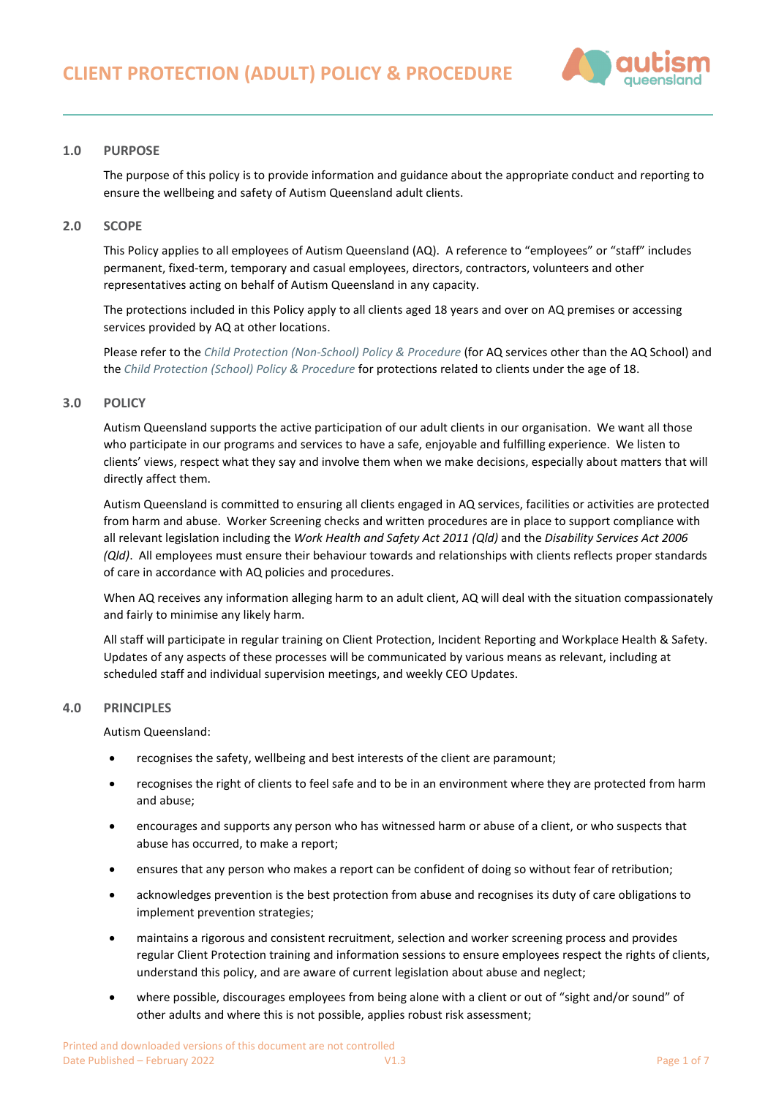

# **1.0 PURPOSE**

The purpose of this policy is to provide information and guidance about the appropriate conduct and reporting to ensure the wellbeing and safety of Autism Queensland adult clients.

### **2.0 SCOPE**

This Policy applies to all employees of Autism Queensland (AQ). A reference to "employees" or "staff" includes permanent, fixed-term, temporary and casual employees, directors, contractors, volunteers and other representatives acting on behalf of Autism Queensland in any capacity.

The protections included in this Policy apply to all clients aged 18 years and over on AQ premises or accessing services provided by AQ at other locations.

Please refer to the *[Child Protection \(Non-School\) Policy & Procedure](https://autismqueenslandlimited.sharepoint.com/sites/AQQADocuments/All%20Documents/Child%20Protection%20(Non-School)%20Policy%20&%20Procedure.pdf)* (for AQ services other than the AQ School) and the *[Child Protection \(School\) Policy & Procedure](https://autismqueenslandlimited.sharepoint.com/sites/AQQADocuments/All%20Documents/Child%20Protection%20(School)%20Policy%20%26%20Procedure.pdf)* for protections related to clients under the age of 18.

### **3.0 POLICY**

Autism Queensland supports the active participation of our adult clients in our organisation. We want all those who participate in our programs and services to have a safe, enjoyable and fulfilling experience. We listen to clients' views, respect what they say and involve them when we make decisions, especially about matters that will directly affect them.

Autism Queensland is committed to ensuring all clients engaged in AQ services, facilities or activities are protected from harm and abuse. Worker Screening checks and written procedures are in place to support compliance with all relevant legislation including the *Work Health and Safety Act 2011 (Qld)* and the *Disability Services Act 2006 (Qld)*. All employees must ensure their behaviour towards and relationships with clients reflects proper standards of care in accordance with AQ policies and procedures.

When AQ receives any information alleging harm to an adult client, AQ will deal with the situation compassionately and fairly to minimise any likely harm.

All staff will participate in regular training on Client Protection, Incident Reporting and Workplace Health & Safety. Updates of any aspects of these processes will be communicated by various means as relevant, including at scheduled staff and individual supervision meetings, and weekly CEO Updates.

# **4.0 PRINCIPLES**

Autism Queensland:

- recognises the safety, wellbeing and best interests of the client are paramount;
- recognises the right of clients to feel safe and to be in an environment where they are protected from harm and abuse;
- encourages and supports any person who has witnessed harm or abuse of a client, or who suspects that abuse has occurred, to make a report;
- ensures that any person who makes a report can be confident of doing so without fear of retribution;
- acknowledges prevention is the best protection from abuse and recognises its duty of care obligations to implement prevention strategies;
- maintains a rigorous and consistent recruitment, selection and worker screening process and provides regular Client Protection training and information sessions to ensure employees respect the rights of clients, understand this policy, and are aware of current legislation about abuse and neglect;
- where possible, discourages employees from being alone with a client or out of "sight and/or sound" of other adults and where this is not possible, applies robust risk assessment;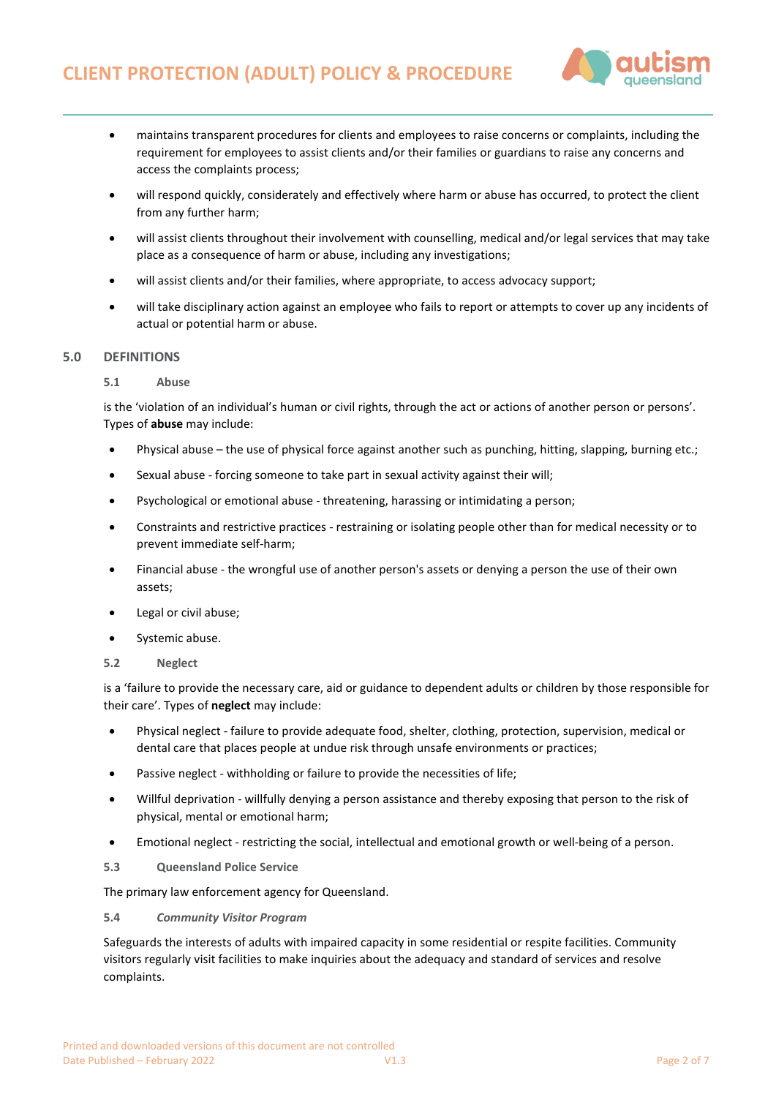

- maintains transparent procedures for clients and employees to raise concerns or complaints, including the requirement for employees to assist clients and/or their families or guardians to raise any concerns and access the complaints process;
- will respond quickly, considerately and effectively where harm or abuse has occurred, to protect the client from any further harm;
- will assist clients throughout their involvement with counselling, medical and/or legal services that may take place as a consequence of harm or abuse, including any investigations;
- will assist clients and/or their families, where appropriate, to access advocacy support;
- will take disciplinary action against an employee who fails to report or attempts to cover up any incidents of actual or potential harm or abuse.

# **5.0 DEFINITIONS**

## **5.1 Abuse**

is the 'violation of an individual's human or civil rights, through the act or actions of another person or persons'. Types of **abuse** may include:

- Physical abuse the use of physical force against another such as punching, hitting, slapping, burning etc.;
- Sexual abuse forcing someone to take part in sexual activity against their will;
- Psychological or emotional abuse threatening, harassing or intimidating a person;
- Constraints and restrictive practices restraining or isolating people other than for medical necessity or to prevent immediate self-harm;
- Financial abuse the wrongful use of another person's assets or denying a person the use of their own assets;
- Legal or civil abuse;
- Systemic abuse.
- **5.2 Neglect**

is a 'failure to provide the necessary care, aid or guidance to dependent adults or children by those responsible for their care'. Types of **neglect** may include:

- Physical neglect failure to provide adequate food, shelter, clothing, protection, supervision, medical or dental care that places people at undue risk through unsafe environments or practices;
- Passive neglect withholding or failure to provide the necessities of life;
- Willful deprivation willfully denying a person assistance and thereby exposing that person to the risk of physical, mental or emotional harm;
- Emotional neglect restricting the social, intellectual and emotional growth or well-being of a person.
- **5.3 [Queensland Police Service](http://www.police.qld.gov.au/)**

The primary law enforcement agency for Queensland.

## **5.4** *[Community Visitor Program](http://www.publicguardian.qld.gov.au/adult-guardian/adult-community-visitors)*

Safeguards the interests of adults with impaired capacity in some residential or respite facilities. Community visitors regularly visit facilities to make inquiries about the adequacy and standard of services and resolve complaints.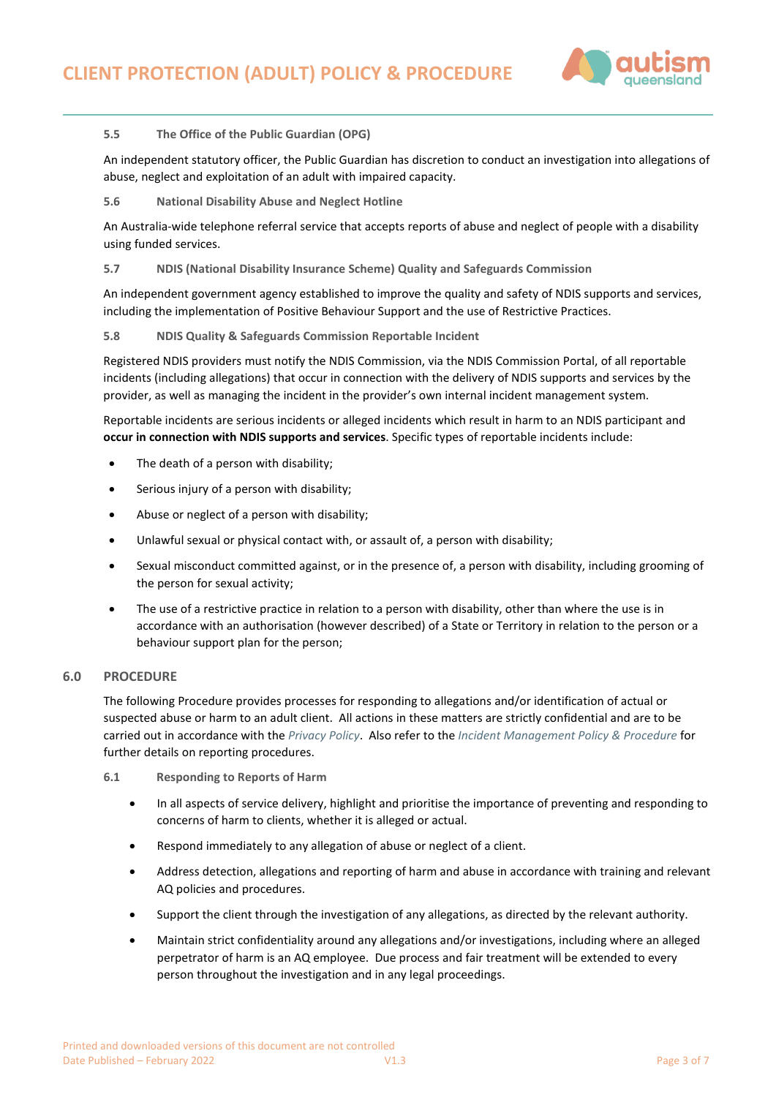

# **5.5 [The Office of the Public Guardian \(OPG\)](http://www.publicguardian.qld.gov.au/home)**

An independent statutory officer, the Public Guardian has discretion to conduct an investigation into allegations of abuse, neglect and exploitation of an adult with impaired capacity.

**5.6 [National Disability Abuse and Neglect Hotline](https://www.jobaccess.gov.au/complaints/hotline)**

An Australia-wide telephone referral service that accepts reports of abuse and neglect of people with a disability using funded services.

# **5.7 [NDIS \(National Disability Insurance Scheme\) Quality and Safeguards Commission](https://www.ndiscommission.gov.au/)**

An independent government agency established to improve the quality and safety of NDIS supports and services, including the implementation of Positive Behaviour Support and the use of Restrictive Practices.

# **5.8 NDIS Quality & Safeguards Commission Reportable Incident**

Registered NDIS providers must notify the NDIS Commission, via the NDIS Commission Portal, of all reportable incidents (including allegations) that occur in connection with the delivery of NDIS supports and services by the provider, as well as managing the incident in the provider's own internal incident management system.

Reportable incidents are serious incidents or alleged incidents which result in harm to an NDIS participant and **occur in connection with NDIS supports and services**. Specific types of reportable incidents include:

- The death of a person with disability;
- Serious injury of a person with disability;
- Abuse or neglect of a person with disability;
- Unlawful sexual or physical contact with, or assault of, a person with disability;
- Sexual misconduct committed against, or in the presence of, a person with disability, including grooming of the person for sexual activity;
- The use of a restrictive practice in relation to a person with disability, other than where the use is in accordance with an authorisation (however described) of a State or Territory in relation to the person or a behaviour support plan for the person;

## **6.0 PROCEDURE**

The following Procedure provides processes for responding to allegations and/or identification of actual or suspected abuse or harm to an adult client. All actions in these matters are strictly confidential and are to be carried out in accordance with the *[Privacy Policy](https://autismqueenslandlimited.sharepoint.com/sites/AQQADocuments/All%20Documents/Privacy%20Policy.pdf)*. Also refer to the *[Incident Management Policy & Procedure](https://autismqueenslandlimited.sharepoint.com/sites/AQQADocuments/All%20Documents/Incident%20Management%20Policy%20&%20Procedure.pdf)* for further details on reporting procedures.

**6.1 Responding to Reports of Harm**

- In all aspects of service delivery, highlight and prioritise the importance of preventing and responding to concerns of harm to clients, whether it is alleged or actual.
- Respond immediately to any allegation of abuse or neglect of a client.
- Address detection, allegations and reporting of harm and abuse in accordance with training and relevant AQ policies and procedures.
- Support the client through the investigation of any allegations, as directed by the relevant authority.
- Maintain strict confidentiality around any allegations and/or investigations, including where an alleged perpetrator of harm is an AQ employee. Due process and fair treatment will be extended to every person throughout the investigation and in any legal proceedings.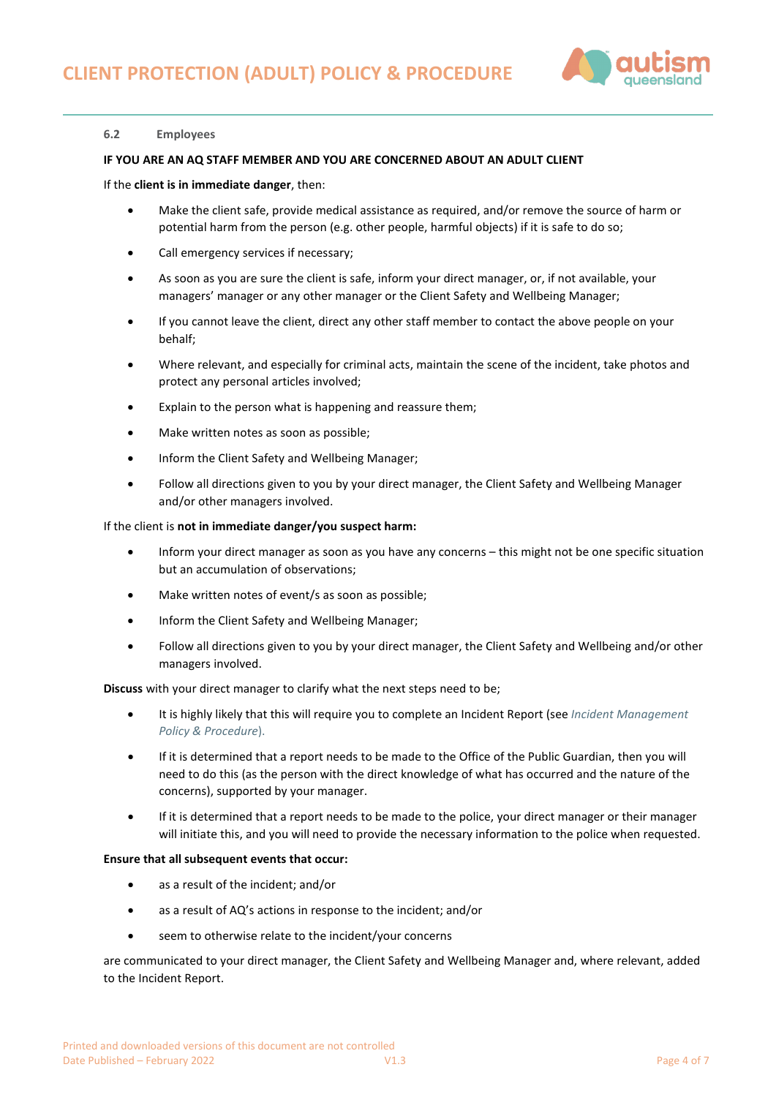

## **6.2 Employees**

### **IF YOU ARE AN AQ STAFF MEMBER AND YOU ARE CONCERNED ABOUT AN ADULT CLIENT**

#### If the **client is in immediate danger**, then:

- Make the client safe, provide medical assistance as required, and/or remove the source of harm or potential harm from the person (e.g. other people, harmful objects) if it is safe to do so;
- Call emergency services if necessary;
- As soon as you are sure the client is safe, inform your direct manager, or, if not available, your managers' manager or any other manager or the Client Safety and Wellbeing Manager;
- If you cannot leave the client, direct any other staff member to contact the above people on your behalf;
- Where relevant, and especially for criminal acts, maintain the scene of the incident, take photos and protect any personal articles involved;
- Explain to the person what is happening and reassure them:
- Make written notes as soon as possible;
- Inform the Client Safety and Wellbeing Manager;
- Follow all directions given to you by your direct manager, the Client Safety and Wellbeing Manager and/or other managers involved.

#### If the client is **not in immediate danger/you suspect harm:**

- Inform your direct manager as soon as you have any concerns this might not be one specific situation but an accumulation of observations;
- Make written notes of event/s as soon as possible;
- Inform the Client Safety and Wellbeing Manager;
- Follow all directions given to you by your direct manager, the Client Safety and Wellbeing and/or other managers involved.

**Discuss** with your direct manager to clarify what the next steps need to be;

- It is highly likely that this will require you to complete an Incident Report (see *[Incident Management](https://autismqueenslandlimited.sharepoint.com/sites/AQQADocuments/All%20Documents/Incident%20Management%20Policy%20&%20Procedure.pdf)  [Policy & Procedure](https://autismqueenslandlimited.sharepoint.com/sites/AQQADocuments/All%20Documents/Incident%20Management%20Policy%20&%20Procedure.pdf)*).
- If it is determined that a report needs to be made to the Office of the Public Guardian, then you will need to do this (as the person with the direct knowledge of what has occurred and the nature of the concerns), supported by your manager.
- If it is determined that a report needs to be made to the police, your direct manager or their manager will initiate this, and you will need to provide the necessary information to the police when requested.

#### **Ensure that all subsequent events that occur:**

- as a result of the incident; and/or
- as a result of AQ's actions in response to the incident; and/or
- seem to otherwise relate to the incident/your concerns

are communicated to your direct manager, the Client Safety and Wellbeing Manager and, where relevant, added to the Incident Report.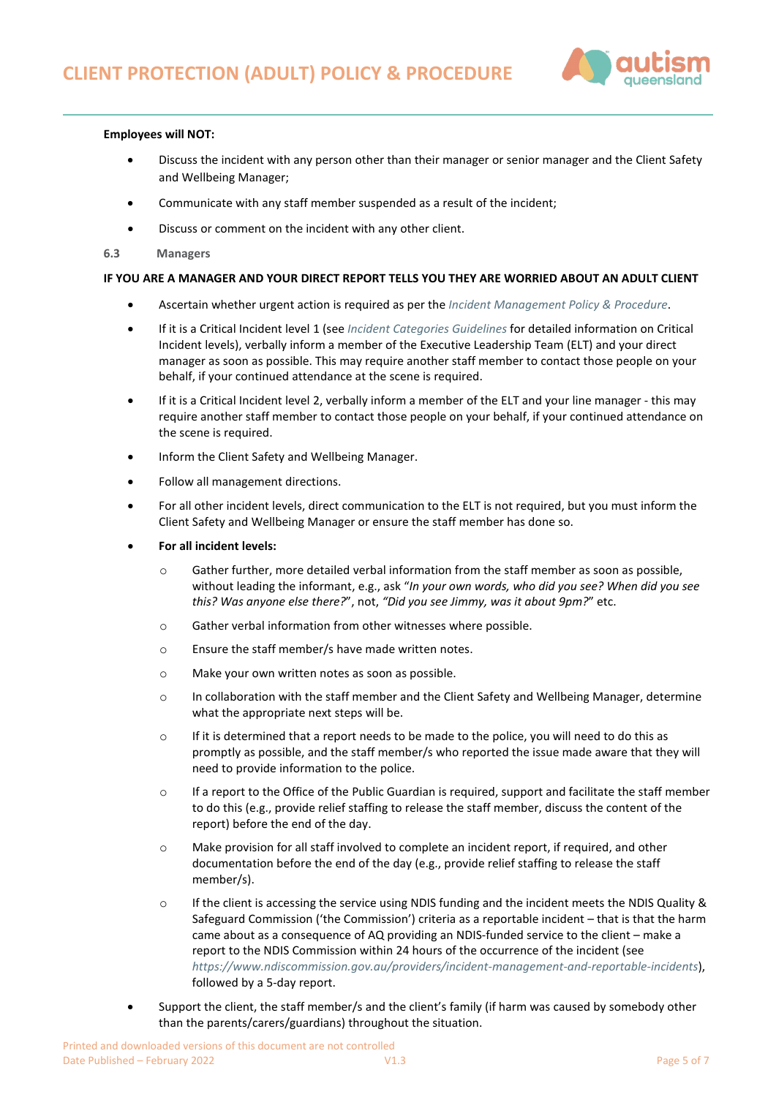

## **Employees will NOT:**

- Discuss the incident with any person other than their manager or senior manager and the Client Safety and Wellbeing Manager;
- Communicate with any staff member suspended as a result of the incident;
- Discuss or comment on the incident with any other client.
- **6.3 Managers**

### **IF YOU ARE A MANAGER AND YOUR DIRECT REPORT TELLS YOU THEY ARE WORRIED ABOUT AN ADULT CLIENT**

- Ascertain whether urgent action is required as per the *[Incident Management Policy & Procedure](https://autismqueenslandlimited.sharepoint.com/sites/AQQADocuments/All%20Documents/Incident%20Management%20Policy%20&%20Procedure.pdf)*.
- If it is a Critical Incident level 1 (see *[Incident Categories Guidelines](https://autismqueenslandlimited.sharepoint.com/sites/AQQADocuments/All%20Documents/Incident%20Categories%20Guidelines.pdf)* for detailed information on Critical Incident levels), verbally inform a member of the Executive Leadership Team (ELT) and your direct manager as soon as possible. This may require another staff member to contact those people on your behalf, if your continued attendance at the scene is required.
- If it is a Critical Incident level 2, verbally inform a member of the ELT and your line manager this may require another staff member to contact those people on your behalf, if your continued attendance on the scene is required.
- Inform the Client Safety and Wellbeing Manager.
- Follow all management directions.
- For all other incident levels, direct communication to the ELT is not required, but you must inform the Client Safety and Wellbeing Manager or ensure the staff member has done so.
- **For all incident levels:**
	- $\circ$  Gather further, more detailed verbal information from the staff member as soon as possible, without leading the informant, e.g., ask "*In your own words, who did you see? When did you see this? Was anyone else there?*", not, *"Did you see Jimmy, was it about 9pm?*" etc.
	- o Gather verbal information from other witnesses where possible.
	- o Ensure the staff member/s have made written notes.
	- o Make your own written notes as soon as possible.
	- o In collaboration with the staff member and the Client Safety and Wellbeing Manager, determine what the appropriate next steps will be.
	- o If it is determined that a report needs to be made to the police, you will need to do this as promptly as possible, and the staff member/s who reported the issue made aware that they will need to provide information to the police.
	- o If a report to the Office of the Public Guardian is required, support and facilitate the staff member to do this (e.g., provide relief staffing to release the staff member, discuss the content of the report) before the end of the day.
	- o Make provision for all staff involved to complete an incident report, if required, and other documentation before the end of the day (e.g., provide relief staffing to release the staff member/s).
	- o If the client is accessing the service using NDIS funding and the incident meets the NDIS Quality & Safeguard Commission ('the Commission') criteria as a reportable incident – that is that the harm came about as a consequence of AQ providing an NDIS-funded service to the client – make a report to the NDIS Commission within 24 hours of the occurrence of the incident (see *<https://www.ndiscommission.gov.au/providers/incident-management-and-reportable-incidents>*), followed by a 5-day report.
- Support the client, the staff member/s and the client's family (if harm was caused by somebody other than the parents/carers/guardians) throughout the situation.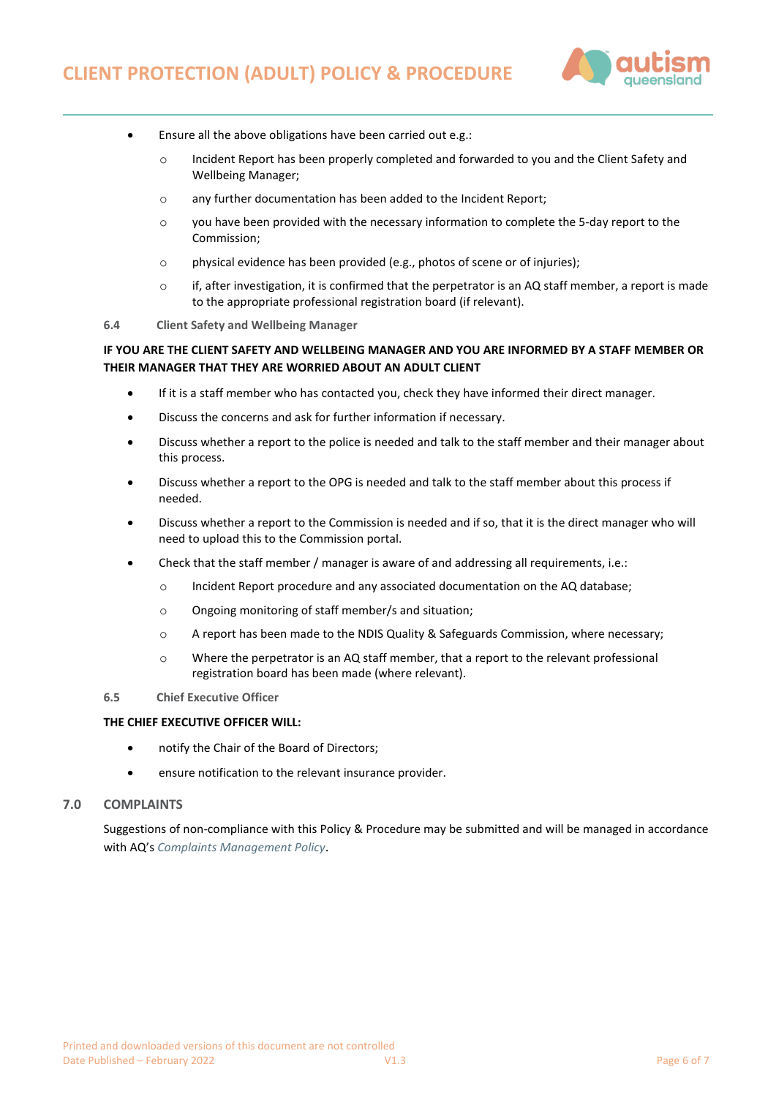

- Ensure all the above obligations have been carried out e.g.:
	- o Incident Report has been properly completed and forwarded to you and the Client Safety and Wellbeing Manager;
	- o any further documentation has been added to the Incident Report;
	- $\circ$  you have been provided with the necessary information to complete the 5-day report to the Commission;
	- o physical evidence has been provided (e.g., photos of scene or of injuries);
	- $\circ$  if, after investigation, it is confirmed that the perpetrator is an AQ staff member, a report is made to the appropriate professional registration board (if relevant).
- **6.4 Client Safety and Wellbeing Manager**

# **IF YOU ARE THE CLIENT SAFETY AND WELLBEING MANAGER AND YOU ARE INFORMED BY A STAFF MEMBER OR THEIR MANAGER THAT THEY ARE WORRIED ABOUT AN ADULT CLIENT**

- If it is a staff member who has contacted you, check they have informed their direct manager.
- Discuss the concerns and ask for further information if necessary.
- Discuss whether a report to the police is needed and talk to the staff member and their manager about this process.
- Discuss whether a report to the OPG is needed and talk to the staff member about this process if needed.
- Discuss whether a report to the Commission is needed and if so, that it is the direct manager who will need to upload this to the Commission portal.
- Check that the staff member / manager is aware of and addressing all requirements, i.e.:
	- o Incident Report procedure and any associated documentation on the AQ database;
	- o Ongoing monitoring of staff member/s and situation;
	- o A report has been made to the NDIS Quality & Safeguards Commission, where necessary;
	- o Where the perpetrator is an AQ staff member, that a report to the relevant professional registration board has been made (where relevant).

### **6.5 Chief Executive Officer**

### **THE CHIEF EXECUTIVE OFFICER WILL:**

- notify the Chair of the Board of Directors;
- ensure notification to the relevant insurance provider.

# **7.0 COMPLAINTS**

Suggestions of non-compliance with this Policy & Procedure may be submitted and will be managed in accordance with AQ's *[Complaints Management Policy](file://10.0.0.16/CorpData/Quality/MASTERS%20-%20AQQA%20Policies%20&%20Procedures/Complaints%20Management%20Policy)*.